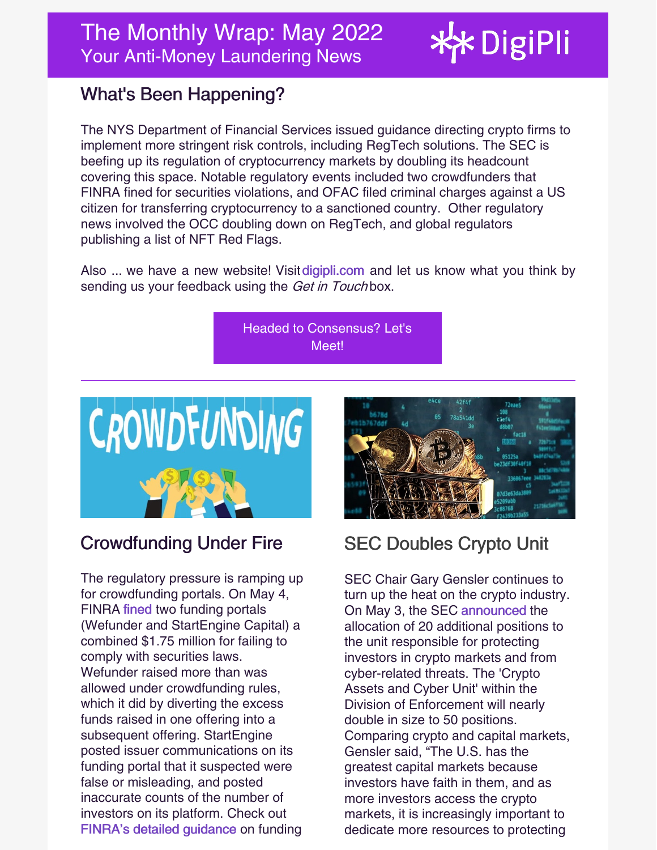# \* DigiPli

## What's Been Happening?

The NYS Department of Financial Services issued guidance directing crypto firms to implement more stringent risk controls, including RegTech solutions. The SEC is beefing up its regulation of cryptocurrency markets by doubling its headcount covering this space. Notable regulatory events included two crowdfunders that FINRA fined for securities violations, and OFAC filed criminal charges against a US citizen for transferring cryptocurrency to a sanctioned country. Other regulatory news involved the OCC doubling down on RegTech, and global regulators publishing a list of NFT Red Flags.

Also ... we have a new website! Visit [digipli.com](https://www.digipli.com) and let us know what you think by sending us your feedback using the Get in Touchbox.

> Headed to [Consensus?](https://meetings.hubspot.com/jeff-horvath) Let's Meet!



#### Crowdfunding Under Fire

The regulatory pressure is ramping up for crowdfunding portals. On May 4, FINRA [fined](https://www.finra.org/media-center/newsreleases/2022/finra-fines-for-crowdfunding-rule-violations) two funding portals (Wefunder and StartEngine Capital) a combined \$1.75 million for failing to comply with securities laws. Wefunder raised more than was allowed under crowdfunding rules, which it did by diverting the excess funds raised in one offering into a subsequent offering. StartEngine posted issuer communications on its funding portal that it suspected were false or misleading, and posted inaccurate counts of the number of investors on its platform. Check out FINRA's detailed [guidance](https://www.finra.org/rules-guidance/guidance/reports/2022-finras-examination-and-risk-monitoring-program/funding-portal-crowdfunding) on funding



# SEC Doubles Crypto Unit

SEC Chair Gary Gensler continues to turn up the heat on the crypto industry. On May 3, the SEC [announced](https://www.sec.gov/news/press-release/2022-78) the allocation of 20 additional positions to the unit responsible for protecting investors in crypto markets and from cyber-related threats. The 'Crypto Assets and Cyber Unit' within the Division of Enforcement will nearly double in size to 50 positions. Comparing crypto and capital markets, Gensler said, "The U.S. has the greatest capital markets because investors have faith in them, and as more investors access the crypto markets, it is increasingly important to dedicate more resources to protecting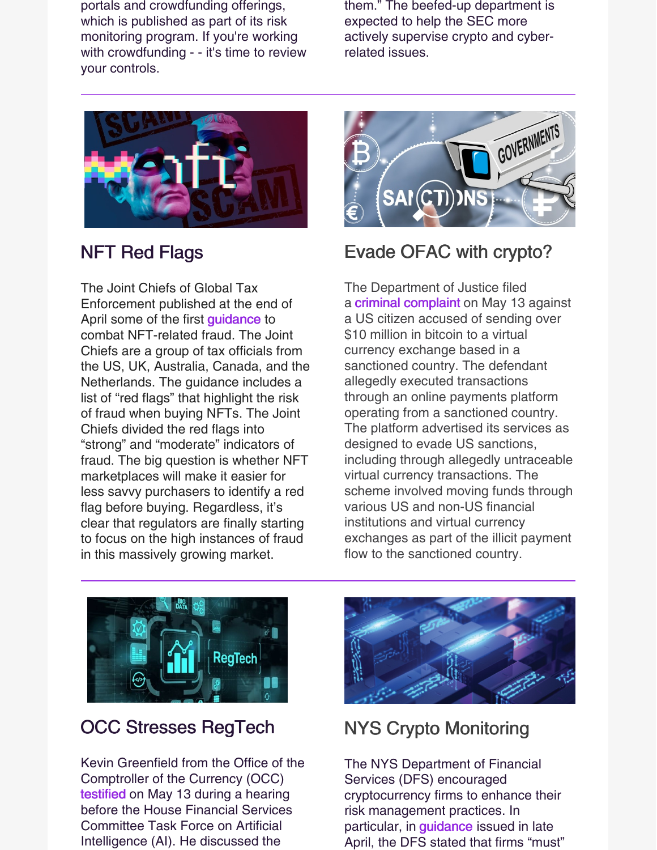portals and crowdfunding offerings, which is published as part of its risk monitoring program. If you're working with crowdfunding - - it's time to review your controls.

them." The beefed-up department is expected to help the SEC more actively supervise crypto and cyberrelated issues.



#### NFT Red Flags

The Joint Chiefs of Global Tax Enforcement published at the end of April some of the first [guidance](https://www.irs.gov/pub/irs-utl/j5-media-release-4-28-2022.pdf) to combat NFT-related fraud. The Joint Chiefs are a group of tax officials from the US, UK, Australia, Canada, and the Netherlands. The guidance includes a list of "red flags" that highlight the risk of fraud when buying NFTs. The Joint Chiefs divided the red flags into "strong" and "moderate" indicators of fraud. The big question is whether NFT marketplaces will make it easier for less savvy purchasers to identify a red flag before buying. Regardless, it's clear that regulators are finally starting to focus on the high instances of fraud in this massively growing market.



#### Evade OFAC with crypto?

The Department of Justice filed a criminal [complaint](https://www.dcd.uscourts.gov/sites/dcd/files/22mj00067CriminalOpinion.pdf) on May 13 against a US citizen accused of sending over \$10 million in bitcoin to a virtual currency exchange based in a sanctioned country. The defendant allegedly executed transactions through an online payments platform operating from a sanctioned country. The platform advertised its services as designed to evade US sanctions, including through allegedly untraceable virtual currency transactions. The scheme involved moving funds through various US and non-US financial institutions and virtual currency exchanges as part of the illicit payment flow to the sanctioned country.



#### OCC Stresses RegTech

Kevin Greenfield from the Office of the Comptroller of the Currency (OCC) [testified](https://www.digipli.com/wp-content/uploads/2022/05/OCC-Testimony-13-May-2022.pdf) on May 13 during a hearing before the House Financial Services Committee Task Force on Artificial Intelligence (AI). He discussed the



## NYS Crypto Monitoring

The NYS Department of Financial Services (DFS) encouraged cryptocurrency firms to enhance their risk management practices. In particular, in *[guidance](https://www.dfs.ny.gov/industry_guidance/industry_letters/il20220428_guidance_use_blockchain_analytics)* issued in late April, the DFS stated that firms "must"